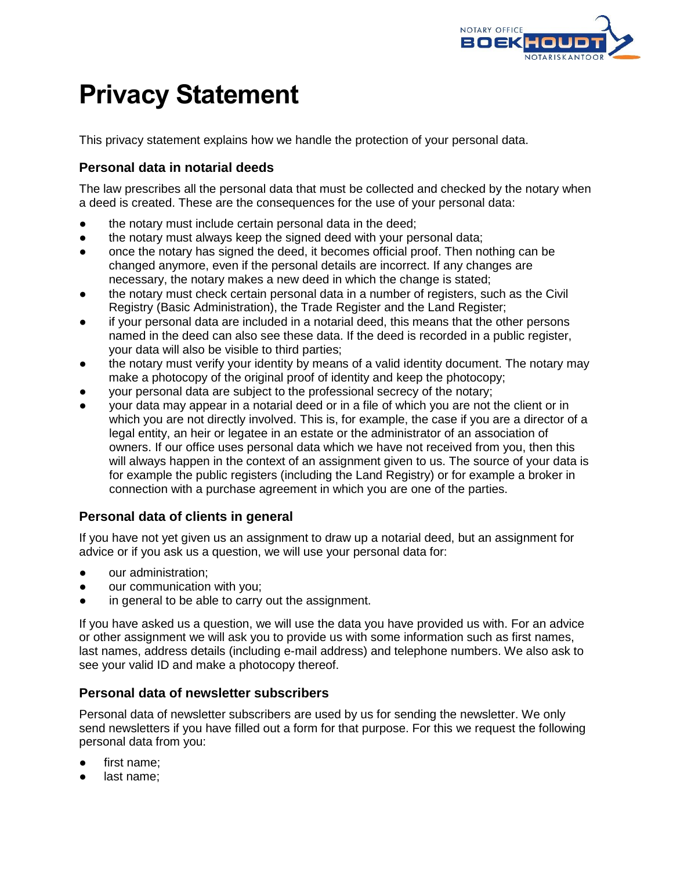

# **Privacy Statement**

This privacy statement explains how we handle the protection of your personal data.

# **Personal data in notarial deeds**

The law prescribes all the personal data that must be collected and checked by the notary when a deed is created. These are the consequences for the use of your personal data:

- the notary must include certain personal data in the deed;
- the notary must always keep the signed deed with your personal data;
- once the notary has signed the deed, it becomes official proof. Then nothing can be changed anymore, even if the personal details are incorrect. If any changes are necessary, the notary makes a new deed in which the change is stated;
- the notary must check certain personal data in a number of registers, such as the Civil Registry (Basic Administration), the Trade Register and the Land Register;
- if your personal data are included in a notarial deed, this means that the other persons named in the deed can also see these data. If the deed is recorded in a public register, your data will also be visible to third parties;
- the notary must verify your identity by means of a valid identity document. The notary may make a photocopy of the original proof of identity and keep the photocopy;
- your personal data are subject to the professional secrecy of the notary;
- your data may appear in a notarial deed or in a file of which you are not the client or in which you are not directly involved. This is, for example, the case if you are a director of a legal entity, an heir or legatee in an estate or the administrator of an association of owners. If our office uses personal data which we have not received from you, then this will always happen in the context of an assignment given to us. The source of your data is for example the public registers (including the Land Registry) or for example a broker in connection with a purchase agreement in which you are one of the parties.

# **Personal data of clients in general**

If you have not yet given us an assignment to draw up a notarial deed, but an assignment for advice or if you ask us a question, we will use your personal data for:

- our administration:
- our communication with you;
- in general to be able to carry out the assignment.

If you have asked us a question, we will use the data you have provided us with. For an advice or other assignment we will ask you to provide us with some information such as first names, last names, address details (including e-mail address) and telephone numbers. We also ask to see your valid ID and make a photocopy thereof.

#### **Personal data of newsletter subscribers**

Personal data of newsletter subscribers are used by us for sending the newsletter. We only send newsletters if you have filled out a form for that purpose. For this we request the following personal data from you:

- first name;
- last name;